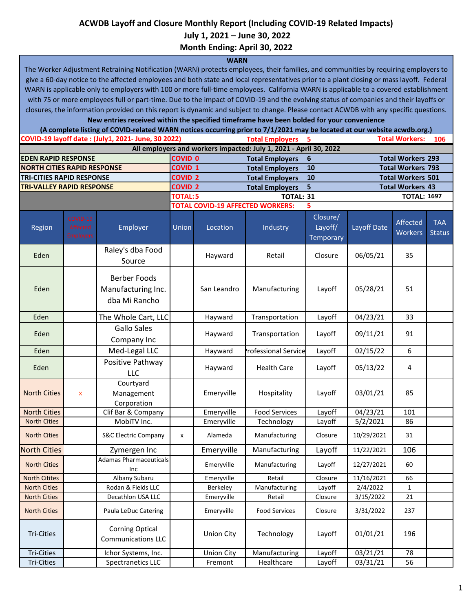## **ACWDB Layoff and Closure Monthly Report (Including COVID-19 Related Impacts)**

 **July 1, 2021 – June 30, 2022**

**Month Ending: April 30, 2022**

## **WARN**

The Worker Adjustment Retraining Notification (WARN) protects employees, their families, and communities by requiring employers to give a 60-day notice to the affected employees and both state and local representatives prior to a plant closing or mass layoff. Federal WARN is applicable only to employers with 100 or more full-time employees. California WARN is applicable to a covered establishment with 75 or more employees full or part-time. Due to the impact of COVID-19 and the evolving status of companies and their layoffs or closures, the information provided on this report is dynamic and subject to change. Please contact ACWDB with any specific questions.

**New entries received within the specified timeframe have been bolded for your convenience**

**Total Employers 5 106 EDEN RAPID RESPONSE COVID 0 Total Employers 6 Total Workers 293 NORTH CITIES RAPID RESPONSE COVID 1 Total Employers 10 Total Workers 793 TRI-CITIES RAPID RESPONSE COVID 2 Total Employers 10 Total Workers 501 TRI-VALLEY RAPID RESPONSE COVID 2 Total Employers 5 Total Workers 43 TOTAL:5 TOTAL: 31 TOTAL: 1697 TOTAL COVID-19 AFFECTED WORKERS: 5** Region Employer Union Location Industry Closure/ Layoff/ **Temporary** Layoff Date Affected **Workers** TAA **Status** Eden Raley's dba Food Source Hayward Retail  $\left| \right|$  Closure  $\left| \right|$  06/05/21  $\left| \right|$  35 Eden Berber Foods Manufacturing Inc. dba Mi Rancho San Leandro | Manufacturing | Layoff | 05/28/21 | 51 Eden **The Whole Cart, LLC** | Hayward | Transportation | Layoff | 04/23/21 | 33 Eden Gallo Sales Company Inc Hayward | Transportation | Layoff | 09/11/21 | 91 Eden | Med-Legal LLC | Hayward Professional Service Layoff | 02/15/22 | 6 Eden Positive Pathway LLC Hayward | Health Care | Layoff | 05/13/22 | 4 North Cities x Courtyard Management Corporation Emeryville | Hospitality | Layoff | 03/01/21 | 85 North Cities Clif Bar & Company | Emeryville | Food Services | Layoff | 04/23/21 | 101 North Cities | MobiTV Inc. | Emeryville | Technology | Layoff | 5/2/2021 | 86 North Cities S&C Electric Company | x | Alameda | Manufacturing | Closure | 10/29/2021 | 31 North Cities **North Cities No. 11, 2016** 2ymergen Inc **Reference Proton Layoff 11/22/2021** 106 North Cities **Adamas Pharmaceuticals** Inc Emeryville Manufacturing Layoff 12/27/2021 60 North Citites **Albany Subaru | Emeryville Retail | Closure 11/16/2021 | 66** North Cities **Rodan & Fields LLC** Berkeley Manufacturing Layoff 2/4/2022 1 North Cities | Decathlon USA LLC | Emeryville | Retail | Closure | 3/15/2022 | 21 North Cities **Paula LeDuc Catering Fig. 1202** Emeryville Food Services Closure 3/31/2022 237 Tri-Cities Corning Optical Communications LLC Union City | Technology | Layoff |  $01/01/21$  | 196 Tri-Cities | Chor Systems, Inc. | Union City | Manufacturing | Layoff | 03/21/21 | 78 Tri-Cities Spectranetics LLC Fremont Healthcare Layoff 03/31/21 56 **COVID-19 layoff date : (July1, 2021- June, 30 2022) Total Workers: All employers and workers impacted: July 1, 2021 - April 30, 2022 (A complete listing of COVID-related WARN notices occurring prior to 7/1/2021 may be located at our website acwdb.org.)**